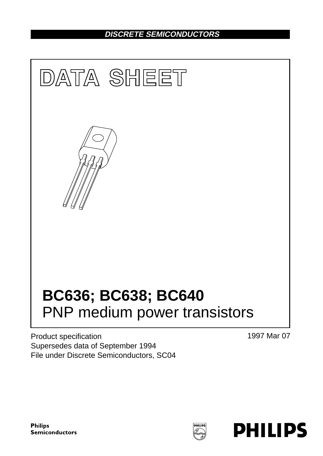# **DISCRETE SEMICONDUCTORS**



Product specification Supersedes data of September 1994 File under Discrete Semiconductors, SC04 1997 Mar 07

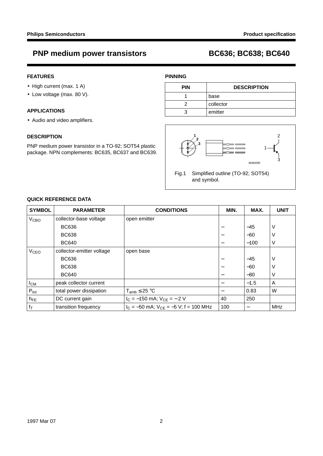## **FEATURES**

- High current (max. 1 A)
- Low voltage (max. 80 V).

## **APPLICATIONS**

• Audio and video amplifiers.

## **DESCRIPTION**

PNP medium power transistor in a TO-92; SOT54 plastic package. NPN complements: BC635, BC637 and BC639.

## **PINNING**

| <b>PIN</b> | <b>DESCRIPTION</b> |
|------------|--------------------|
|            | base               |
|            | collector          |
|            | emitter            |



## **QUICK REFERENCE DATA**

| <b>SYMBOL</b>          | <b>PARAMETER</b>          | <b>CONDITIONS</b>                            | MIN. | MAX.   | <b>UNIT</b> |
|------------------------|---------------------------|----------------------------------------------|------|--------|-------------|
| V <sub>CBO</sub>       | collector-base voltage    | open emitter                                 |      |        |             |
|                        | <b>BC636</b>              |                                              |      | $-45$  | V           |
|                        | <b>BC638</b>              |                                              |      | $-60$  | V           |
|                        | <b>BC640</b>              |                                              |      | $-100$ | $\vee$      |
| <b>V<sub>CEO</sub></b> | collector-emitter voltage | open base                                    |      |        |             |
|                        | <b>BC636</b>              |                                              |      | $-45$  | V           |
|                        | <b>BC638</b>              |                                              |      | $-60$  | ν           |
|                        | <b>BC640</b>              |                                              | —    | $-80$  | V           |
| $I_{CM}$               | peak collector current    |                                              |      | $-1.5$ | A           |
| $P_{\text{tot}}$       | total power dissipation   | $T_{amb} \leq 25 °C$                         |      | 0.83   | W           |
| $h_{FE}$               | DC current gain           | $I_C = -150$ mA; $V_{CE} = -2$ V             | 40   | 250    |             |
| $f_T$                  | transition frequency      | $I_C = -50$ mA; $V_{CE} = -5$ V; f = 100 MHz | 100  |        | <b>MHz</b>  |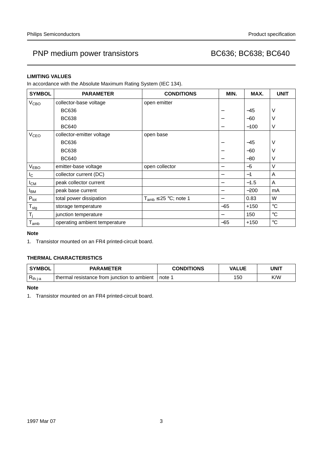# PNP medium power transistors extending the BC636; BC638; BC640

## **LIMITING VALUES**

In accordance with the Absolute Maximum Rating System (IEC 134).

| <b>SYMBOL</b>               | <b>PARAMETER</b>              | <b>CONDITIONS</b>            | MIN.  | MAX.   | <b>UNIT</b>       |
|-----------------------------|-------------------------------|------------------------------|-------|--------|-------------------|
| V <sub>CBO</sub>            | collector-base voltage        | open emitter                 |       |        |                   |
|                             | <b>BC636</b>                  |                              |       | $-45$  | V                 |
|                             | <b>BC638</b>                  |                              |       | $-60$  | V                 |
|                             | <b>BC640</b>                  |                              |       | $-100$ | $\vee$            |
| <b>V<sub>CEO</sub></b>      | collector-emitter voltage     | open base                    |       |        |                   |
|                             | <b>BC636</b>                  |                              |       | $-45$  | V                 |
|                             | <b>BC638</b>                  |                              |       | $-60$  | V                 |
|                             | <b>BC640</b>                  |                              |       | $-80$  | V                 |
| <b>VEBO</b>                 | emitter-base voltage          | open collector               | —     | $-5$   | $\vee$            |
| $I_{\rm C}$                 | collector current (DC)        |                              | —     | $-1$   | A                 |
| $I_{CM}$                    | peak collector current        |                              | —     | $-1.5$ | A                 |
| <b>I</b> BM                 | peak base current             |                              |       | $-200$ | mA                |
| $P_{\text{tot}}$            | total power dissipation       | $T_{amb} \leq 25$ °C; note 1 | —     | 0.83   | W                 |
| $T_{\text{stg}}$            | storage temperature           |                              | $-65$ | $+150$ | $^{\circ}{\rm C}$ |
| $T_i$                       | junction temperature          |                              |       | 150    | $^{\circ}{\rm C}$ |
| $\mathsf{T}_{\mathsf{amb}}$ | operating ambient temperature |                              | -65   | $+150$ | $^{\circ}C$       |

## **Note**

1. Transistor mounted on an FR4 printed-circuit board.

## **THERMAL CHARACTERISTICS**

| <b>SYMBOL</b> | <b>PARAMETER</b>                            | <b>CONDITIONS</b> | <b>VALUE</b> | UNIT |
|---------------|---------------------------------------------|-------------------|--------------|------|
| $R_{th\ j-a}$ | thermal resistance from junction to ambient | note 1            | 150          | K/W  |

## **Note**

1. Transistor mounted on an FR4 printed-circuit board.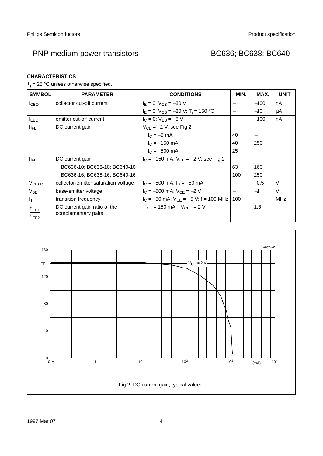## **CHARACTERISTICS**

 $T_i = 25$  °C unless otherwise specified.

| <b>SYMBOL</b>                                                 | <b>PARAMETER</b>                                    | <b>CONDITIONS</b>                            | MIN.                     | MAX.                     | <b>UNIT</b> |
|---------------------------------------------------------------|-----------------------------------------------------|----------------------------------------------|--------------------------|--------------------------|-------------|
| I <sub>CBO</sub>                                              | collector cut-off current                           | $I_E = 0$ ; $V_{CB} = -30$ V                 |                          | $-100$                   | nA          |
|                                                               |                                                     | $I_E = 0$ ; $V_{CB} = -30$ V; $T_i = 150$ °C |                          | $-10$                    | μA          |
| $I_{EBO}$                                                     | emitter cut-off current                             | $I_C = 0$ ; $V_{FB} = -5$ V                  | $\overline{\phantom{m}}$ | $-100$                   | nA          |
| $h_{FE}$                                                      | DC current gain                                     | $V_{CE} = -2 V$ ; see Fig.2                  |                          |                          |             |
|                                                               |                                                     | $I_C = -5$ mA                                | 40                       |                          |             |
|                                                               |                                                     | $I_C = -150$ mA                              | 40                       | 250                      |             |
|                                                               |                                                     | $I_C = -500$ mA                              | 25                       | $\overline{\phantom{0}}$ |             |
| $h_{FE}$                                                      | DC current gain                                     | $I_C = -150$ mA; $V_{CF} = -2$ V; see Fig.2  |                          |                          |             |
|                                                               | BC636-10; BC638-10; BC640-10                        |                                              | 63                       | 160                      |             |
|                                                               | BC636-16; BC638-16; BC640-16                        |                                              | 100                      | 250                      |             |
| $V_{CEsat}$                                                   | collector-emitter saturation voltage                | $I_C = -500$ mA; $I_B = -50$ mA              |                          | $-0.5$                   | V           |
| $V_{BE}$                                                      | base-emitter voltage                                | $I_C = -500$ mA; $V_{CE} = -2$ V             |                          | $-1$                     | V           |
| $f_T$                                                         | transition frequency                                | $I_C = -50$ mA; $V_{CE} = -5$ V; f = 100 MHz | 100                      |                          | <b>MHz</b>  |
| $\frac{\mathsf{h}_{\mathsf{FE1}}}{\mathsf{h}_{\mathsf{FE2}}}$ | DC current gain ratio of the<br>complementary pairs | $ I_C $ = 150 mA; $ V_{CF} $ = 2 V           |                          | 1.6                      |             |

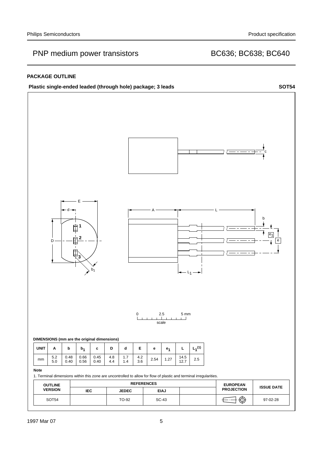## **PACKAGE OUTLINE**



SOT54 | TO-92 | SC-43 |  $\leftarrow$  |  $\leftarrow$  | 97-02-28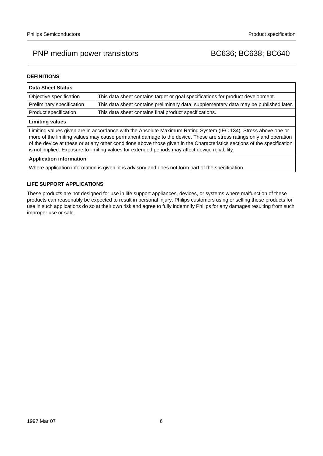## **DEFINITIONS**

| <b>Data Sheet Status</b>                                                                                                                                                                                                                                                                                                                                                                                                                                           |                                                                                       |  |  |  |
|--------------------------------------------------------------------------------------------------------------------------------------------------------------------------------------------------------------------------------------------------------------------------------------------------------------------------------------------------------------------------------------------------------------------------------------------------------------------|---------------------------------------------------------------------------------------|--|--|--|
| Objective specification                                                                                                                                                                                                                                                                                                                                                                                                                                            | This data sheet contains target or goal specifications for product development.       |  |  |  |
| Preliminary specification                                                                                                                                                                                                                                                                                                                                                                                                                                          | This data sheet contains preliminary data; supplementary data may be published later. |  |  |  |
| Product specification                                                                                                                                                                                                                                                                                                                                                                                                                                              | This data sheet contains final product specifications.                                |  |  |  |
| <b>Limiting values</b>                                                                                                                                                                                                                                                                                                                                                                                                                                             |                                                                                       |  |  |  |
| Limiting values given are in accordance with the Absolute Maximum Rating System (IEC 134). Stress above one or<br>more of the limiting values may cause permanent damage to the device. These are stress ratings only and operation<br>of the device at these or at any other conditions above those given in the Characteristics sections of the specification<br>is not implied. Exposure to limiting values for extended periods may affect device reliability. |                                                                                       |  |  |  |
| <b>Application information</b>                                                                                                                                                                                                                                                                                                                                                                                                                                     |                                                                                       |  |  |  |

Where application information is given, it is advisory and does not form part of the specification.

## **LIFE SUPPORT APPLICATIONS**

These products are not designed for use in life support appliances, devices, or systems where malfunction of these products can reasonably be expected to result in personal injury. Philips customers using or selling these products for use in such applications do so at their own risk and agree to fully indemnify Philips for any damages resulting from such improper use or sale.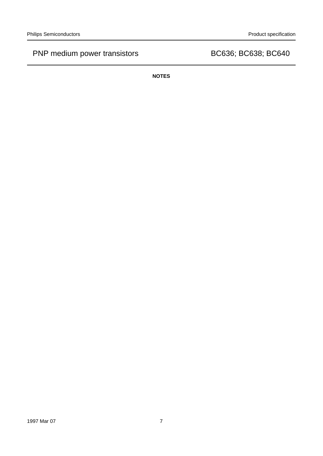**NOTES**